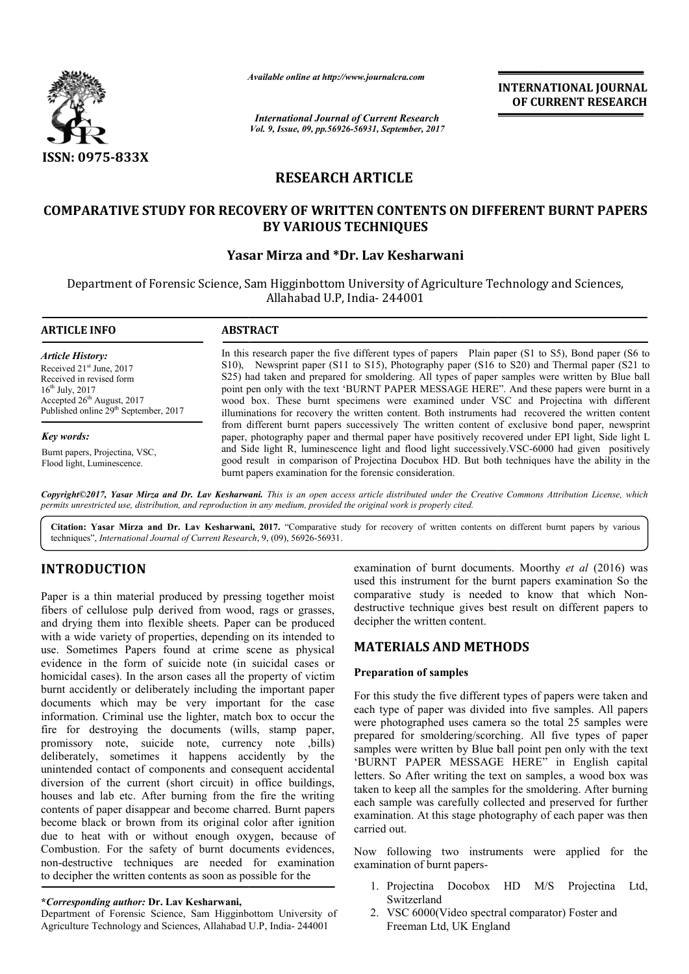

*Available online at http://www.journal http://www.journalcra.com*

*International Journal of Current Research Vol. 9, Issue, 09, pp.56926-56931, September, 2017* **INTERNATIONAL JOURNAL OF CURRENT RESEARCH** 

# **RESEARCH ARTICLE**

# **COMPARATIVE STUDY FOR RECOVERY OF WRITTEN CONTENTS ON DIFFERENT BURNT PAPERS ON DIFFERENT BY VARIOUS TECHNIQUES**

# **Yasar Mirza and \*Dr. Lav Kesharwani**

Department of Forensic Science, Sam Higginbottom University of Agriculture Technology and Sciences, Allahabad U.P, India- 244001

**ARTICLE INFO ABSTRACT** In this research paper the five different types of papers Plain paper (S1 to S5), Bond paper (S6 to S10), Newsprint paper (S11 to S15), Photography paper (S16 to S20) and Thermal paper (S21 to S25) had taken and prepared for smoldering. All types of paper samples were written by Blue ball In this research paper the five different types of papers Plain paper (S1 to S5), Bond paper (S6 to S10), Newsprint paper (S11 to S15), Photography paper (S16 to S20) and Thermal paper (S21 to S25) had taken and prepared f wood box. These burnt specimens were examined under VSC and Projectina with different illuminations for recovery the written content. Both instruments had recovered the written content from different burnt papers successively The written content of exclusive bond paper, newsprint paper, photography paper and thermal paper have positively recovered under EPI light, Side light L *Article History:* Received 21<sup>st</sup> June, 2017 Received in revised form  $16^{th}$  July,  $2017$ Accepted 26<sup>th</sup> August, 2017 Published online 29<sup>th</sup> September, 2017 *Key words:*

Burnt papers, Projectina, VSC, Flood light, Luminescence.

wood box. These burnt specimens were examined under VSC and Projectina with different<br>illuminations for recovery the written content. Both instruments had recovered the written content<br>from different burnt papers successiv good result in comparison of Projectina Docubox HD. But both techniques have the ability in the burnt papers examination for the forensic consideration.

*Copyright©2017, Yasar Mirza and Dr. Lav Kesharwani Kesharwani. This is an open access article distributed under the Creative Commons Att Attribution License, which permits unrestricted use, distribution, and reproduction in any medium, provided the original work is properly cited.*

Citation: Yasar Mirza and Dr. Lav Kesharwani, 2017. "Comparative study for recovery of written contents on different burnt papers by various techniques", *International Journal of Current Research*, 9, (09), 56926-56931.

# **INTRODUCTION**

Paper is a thin material produced by pressing together moist fibers of cellulose pulp derived from wood, rags or grasses, and drying them into flexible sheets. Paper can be produced with a wide variety of properties, depending on its intended to use. Sometimes Papers found at crime scene as physical evidence in the form of suicide note (in suicidal cases or homicidal cases). In the arson cases all the property of victim burnt accidently or deliberately including the important paper documents which may be very important for the case information. Criminal use the lighter, match box to occur the fire for destroying the documents (wills, stamp paper, promissory note, suicide note, currency note ,bills) deliberately, sometimes it happens accidently by the unintended contact of components and consequent accidental diversion of the current (short circuit) in office buildings, houses and lab etc. After burning from the fire the writing contents of paper disappear and become charred. Burnt papers become black or brown from its original color after ignition due to heat with or without enough oxygen, because of Combustion. For the safety of burnt documents evidences, non-destructive techniques are needed for examination to decipher the written contents as soon as possible for the es and lab etc. After burning from the fire the writing<br>ents of paper disappear and become charred. Burnt papers<br>me black or brown from its original color after ignition<br>to heat with or without enough oxygen, because of<br>bl

### **\****Corresponding author:* **Dr. Lav Kesharwani,**

Department of Forensic Science, Sam Higginbottom University of Agriculture Technology and Sciences, Allahabad U.P, India-244001

examination of burnt documents. Moorthy *et al* (2016) was used this instrument for the burnt papers examination So the comparative study is needed to know that which Nondestructive technique gives best result on different papers to decipher the written content.

## **MATERIALS AND METHODS METHODS**

### **Preparation of samples**

For this study the five different types of papers were taken and each type of paper was divided into five samples. All papers were photographed uses camera so the total 25 samples were prepared for smoldering/scorching. All five types of paper samples were written by Blue ball point pen only with the text 'BURNT PAPER MESSAGE HERE" in English capital letters. So After writing the text on samples, a wood box was taken to keep all the samples for the smoldering. After burning each sample was carefully collected and preserved for further examination. At this stage photography of each paper was then carried out. For this study the five different types of papers were taken and each type of paper was divided into five samples. All papers were prepared for smoldering/scorching. All five types of paper samples were written by Blue bal

Now following two instruments were applied for the examination of burnt papers-<br>
1. Projectina Docobox HD M/S Projectina Ltd, examination of burnt papers-

- 1. Projectina Docobox HD Switzerland
- 2. VSC 6000(Video spectral comparator) Foster and Freeman Ltd, UK England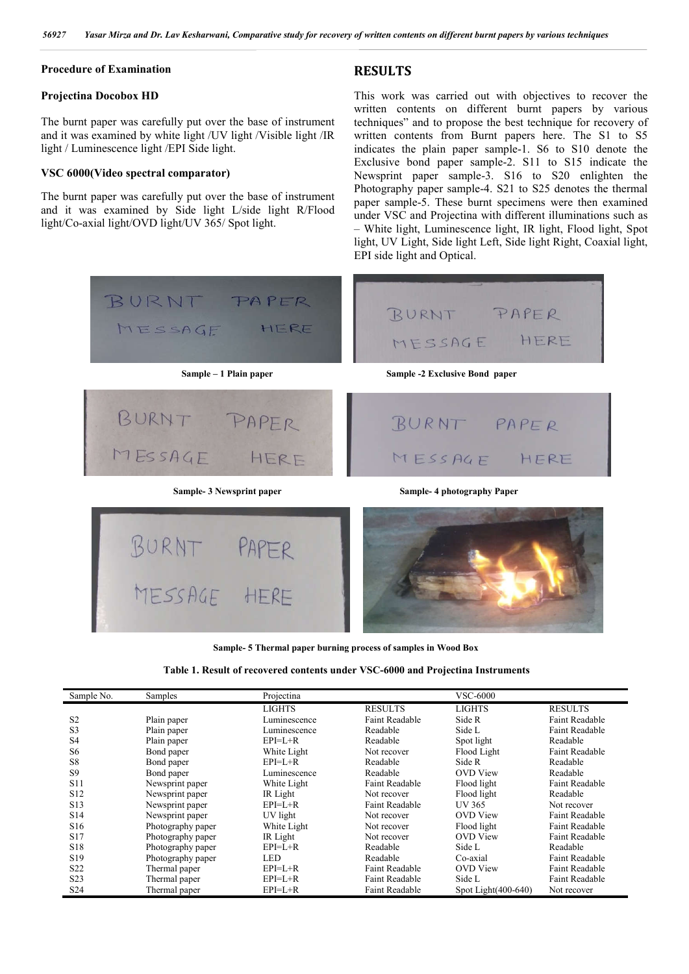#### **Procedure of Examination**

#### **Projectina Docobox HD**

The burnt paper was carefully put over the base of instrument and it was examined by white light /UV light /Visible light /IR light / Luminescence light /EPI Side light.

#### **VSC 6000(Video spectral comparator)**

The burnt paper was carefully put over the base of instrument and it was examined by Side light L/side light R/Flood light/Co-axial light/OVD light/UV 365/ Spot light.

## **RESULTS**

This work was carried out with objectives to recover the written contents on different burnt papers by various techniques" and to propose the best technique for recovery of written contents from Burnt papers here. The S1 to S5 indicates the plain paper sample-1. S6 to S10 denote the Exclusive bond paper sample-2. S11 to S15 indicate the Newsprint paper sample-3. S16 to S20 enlighten the Photography paper sample-4. S21 to S25 denotes the thermal paper sample-5. These burnt specimens were then examined under VSC and Projectina with different illuminations such as – White light, Luminescence light, IR light, Flood light, Spot light, UV Light, Side light Left, Side light Right, Coaxial light, EPI side light and Optical.



**Sample- 5 Thermal paper burning process of samples in Wood Box**

| Table 1. Result of recovered contents under VSC-6000 and Projectina Instruments |
|---------------------------------------------------------------------------------|
|---------------------------------------------------------------------------------|

| Sample No.       | Samples           | Projectina    |                       | <b>VSC-6000</b>        |                       |
|------------------|-------------------|---------------|-----------------------|------------------------|-----------------------|
|                  |                   | <b>LIGHTS</b> | <b>RESULTS</b>        | <b>LIGHTS</b>          | <b>RESULTS</b>        |
| S <sub>2</sub>   | Plain paper       | Luminescence  | Faint Readable        | Side R                 | Faint Readable        |
| S <sub>3</sub>   | Plain paper       | Luminescence  | Readable              | Side L                 | <b>Faint Readable</b> |
| S <sub>4</sub>   | Plain paper       | $EPI = L + R$ | Readable              | Spot light             | Readable              |
| S <sub>6</sub>   | Bond paper        | White Light   | Not recover           | Flood Light            | <b>Faint Readable</b> |
| S <sub>8</sub>   | Bond paper        | $EPI = L + R$ | Readable              | Side R                 | Readable              |
| <b>S9</b>        | Bond paper        | Luminescence  | Readable              | <b>OVD</b> View        | Readable              |
| <b>S11</b>       | Newsprint paper   | White Light   | Faint Readable        | Flood light            | <b>Faint Readable</b> |
| S <sub>12</sub>  | Newsprint paper   | IR Light      | Not recover           | Flood light            | Readable              |
| S <sub>13</sub>  | Newsprint paper   | $EPI = L + R$ | Faint Readable        | <b>UV 365</b>          | Not recover           |
| S <sub>14</sub>  | Newsprint paper   | UV light      | Not recover           | <b>OVD</b> View        | Faint Readable        |
| S <sub>16</sub>  | Photography paper | White Light   | Not recover           | Flood light            | <b>Faint Readable</b> |
| S <sub>17</sub>  | Photography paper | IR Light      | Not recover           | <b>OVD</b> View        | <b>Faint Readable</b> |
| S <sub>18</sub>  | Photography paper | $EPI=L+R$     | Readable              | Side L                 | Readable              |
| S <sub>19</sub>  | Photography paper | <b>LED</b>    | Readable              | Co-axial               | <b>Faint Readable</b> |
| S <sub>22</sub>  | Thermal paper     | $EPI=L+R$     | <b>Faint Readable</b> | <b>OVD</b> View        | <b>Faint Readable</b> |
| S <sub>2</sub> 3 | Thermal paper     | $EPI=L+R$     | Faint Readable        | Side L                 | <b>Faint Readable</b> |
| S <sub>24</sub>  | Thermal paper     | $EPI=L+R$     | <b>Faint Readable</b> | Spot Light $(400-640)$ | Not recover           |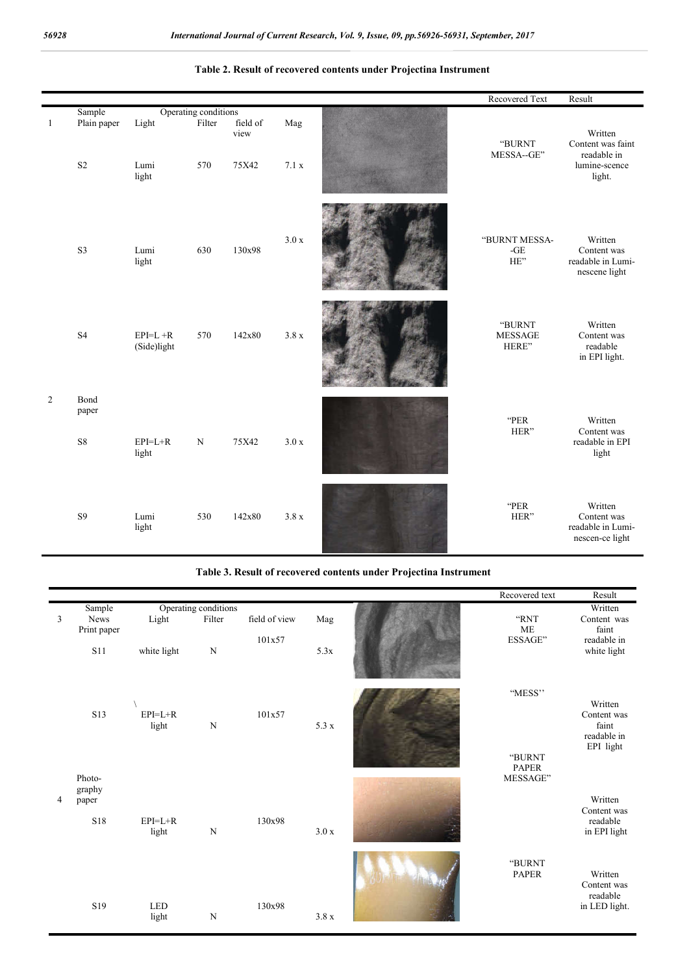|    |                         |                          |                      |                           |              | Recovered Text                    | Result                                                                 |
|----|-------------------------|--------------------------|----------------------|---------------------------|--------------|-----------------------------------|------------------------------------------------------------------------|
|    | Sample                  |                          | Operating conditions |                           |              |                                   |                                                                        |
| -1 | Plain paper<br>$\rm S2$ | Light<br>Lumi<br>light   | Filter<br>570        | field of<br>view<br>75X42 | Mag<br>7.1 x | "BURNT<br>MESSA--GE"              | Written<br>Content was faint<br>readable in<br>lumine-scence<br>light. |
|    | S <sub>3</sub>          | Lumi<br>light            | 630                  | 130x98                    | 3.0 x        | "BURNT MESSA-<br>$-GE$<br>HE"     | Written<br>Content was<br>readable in Lumi-<br>nescene light           |
|    | S <sub>4</sub>          | $EPI=L+R$<br>(Side)light | 570                  | 142x80                    | 3.8x         | "BURNT<br><b>MESSAGE</b><br>HERE" | Written<br>Content was<br>readable<br>in EPI light.                    |
| 2  | Bond                    |                          |                      |                           |              |                                   |                                                                        |
|    | paper<br>${\rm S}8$     | $EPI=L+R$<br>light       | $\mathbf N$          | 75X42                     | 3.0 x        | "PER<br>HER"                      | Written<br>Content was<br>readable in EPI<br>light                     |
|    | <b>S9</b>               | Lumi<br>light            | 530                  | 142x80                    | 3.8x         | "PER<br>HER"                      | Written<br>Content was<br>readable in Lumi-<br>nescen-ce light         |

#### **Table 2. Result of recovered contents under Projectina Instrument**

#### Table 3. Result of recovered contents under Projectina Instrument

|                |                                      |                      |                                               |                         |                   | Recovered text                                | Result                                                        |
|----------------|--------------------------------------|----------------------|-----------------------------------------------|-------------------------|-------------------|-----------------------------------------------|---------------------------------------------------------------|
| 3              | Sample<br>News<br>Print paper<br>S11 | Light<br>white light | Operating conditions<br>Filter<br>$\mathbf N$ | field of view<br>101x57 | Mag<br>5.3x       | "RNT<br>$\rm ME$<br>$\operatorname{ESSAGE}$ " | Written<br>Content was<br>faint<br>readable in<br>white light |
|                | S13                                  | $EPI=L+R$<br>light   | ${\bf N}$                                     | 101x57                  | $5.3 \times$      | "MESS"<br>"BURNT<br><b>PAPER</b>              | Written<br>Content was<br>faint<br>readable in<br>EPI light   |
| $\overline{4}$ | Photo-<br>graphy<br>paper<br>S18     | $EPI=L+R$<br>light   | ${\bf N}$                                     | 130x98                  | $3.0\ \mathrm{x}$ | MESSAGE"                                      | Written<br>Content was<br>readable<br>in EPI light            |
|                | S19                                  | <b>LED</b><br>light  | $\overline{N}$                                | 130x98                  | $3.8~\mathrm{x}$  | "BURNT<br><b>PAPER</b>                        | Written<br>Content was<br>readable<br>in LED light.           |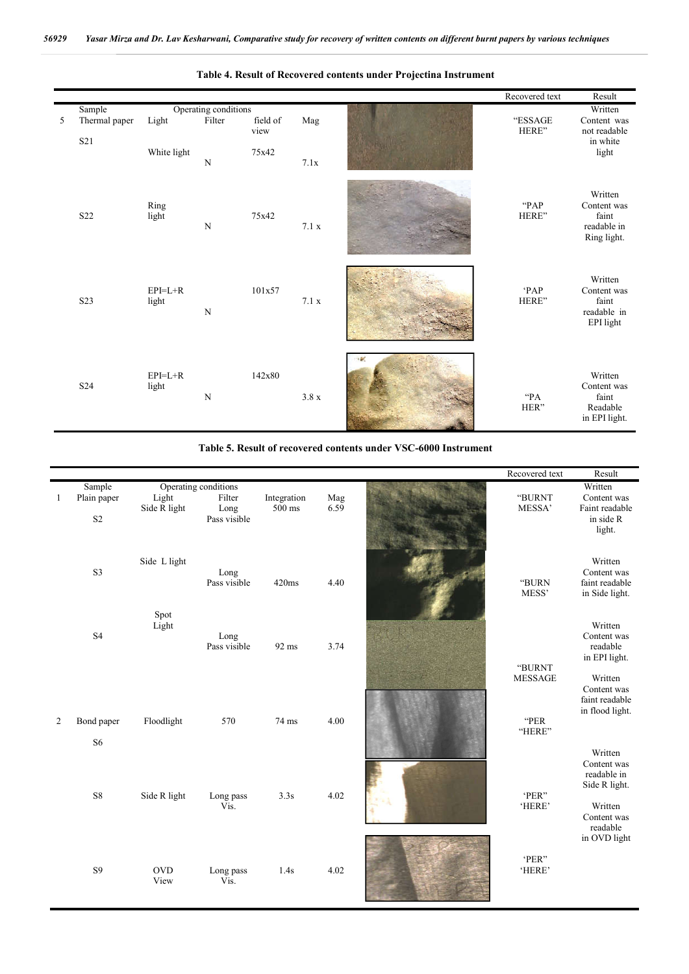

#### **Table 4. Result of Recovered contents under Projectina Instrument**

**Table 5. Result of recovered contents under VSC-6000 Instrument**

|              |                |               |                      |             |      | Recovered text | Result              |
|--------------|----------------|---------------|----------------------|-------------|------|----------------|---------------------|
|              | Sample         |               | Operating conditions |             |      |                | Written             |
| $\mathbf{1}$ | Plain paper    | Light         | Filter               | Integration | Mag  | "BURNT         | Content was         |
|              |                | Side R light  | Long                 | 500 ms      | 6.59 | MESSA'         | Faint readable      |
|              | S <sub>2</sub> |               | Pass visible         |             |      |                | in side R<br>light. |
|              |                |               |                      |             |      |                |                     |
|              |                |               |                      |             |      |                |                     |
|              |                | Side L light  |                      |             |      |                | Written             |
|              | S3             |               | Long                 |             |      |                | Content was         |
|              |                |               | Pass visible         | 420ms       | 4.40 | "BURN          | faint readable      |
|              |                |               |                      |             |      | MESS'          | in Side light.      |
|              |                |               |                      |             |      |                |                     |
|              |                | Spot<br>Light |                      |             |      |                | Written             |
|              | S <sub>4</sub> |               | Long                 |             |      |                | Content was         |
|              |                |               | Pass visible         | 92 ms       | 3.74 |                | readable            |
|              |                |               |                      |             |      |                | in EPI light.       |
|              |                |               |                      |             |      | "BURNT         |                     |
|              |                |               |                      |             |      | <b>MESSAGE</b> | Written             |
|              |                |               |                      |             |      |                | Content was         |
|              |                |               |                      |             |      |                | faint readable      |
| 2            | Bond paper     | Floodlight    | 570                  | 74 ms       | 4.00 | "PER           | in flood light.     |
|              |                |               |                      |             |      | "HERE"         |                     |
|              | S <sub>6</sub> |               |                      |             |      |                |                     |
|              |                |               |                      |             |      |                | Written             |
|              |                |               |                      |             |      |                | Content was         |
|              |                |               |                      |             |      |                | readable in         |
|              | ${\bf S8}$     |               |                      |             |      | 'PER"          | Side R light.       |
|              |                | Side R light  | Long pass<br>Vis.    | 3.3s        | 4.02 | 'HERE'         | Written             |
|              |                |               |                      |             |      |                | Content was         |
|              |                |               |                      |             |      |                | readable            |
|              |                |               |                      |             |      |                | in OVD light        |
|              |                |               |                      |             |      |                |                     |
|              |                |               |                      |             |      | 'PER"          |                     |
|              | <b>S9</b>      | <b>OVD</b>    | Long pass            | 1.4s        | 4.02 | 'HERE'         |                     |
|              |                | View          | Vis.                 |             |      |                |                     |
|              |                |               |                      |             |      |                |                     |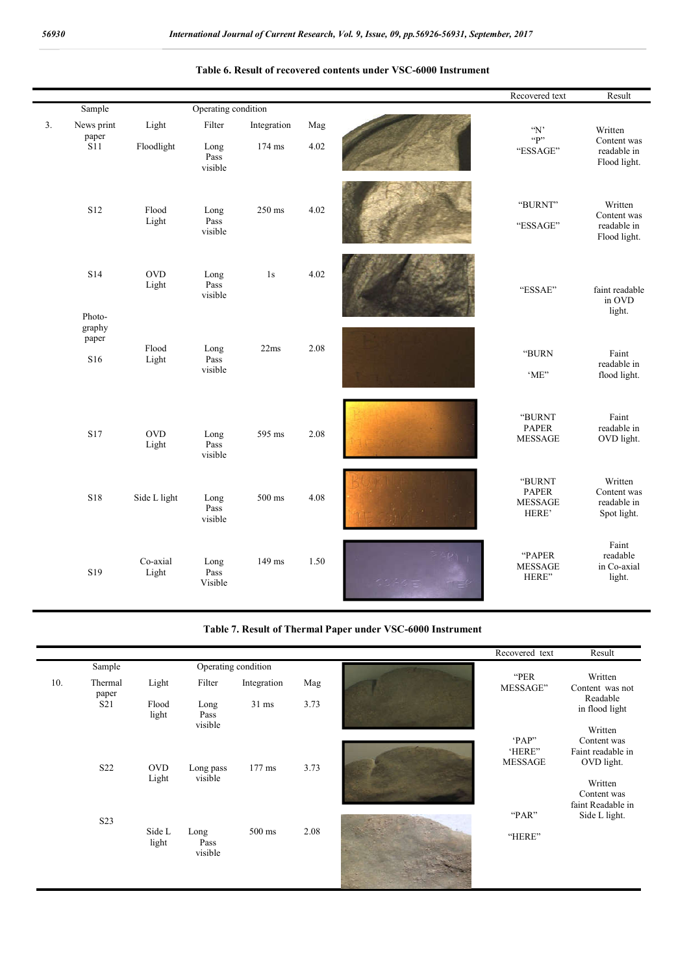|    |                                         |                     |                                    |                       |             | Recovered text                                    | Result                                                                |
|----|-----------------------------------------|---------------------|------------------------------------|-----------------------|-------------|---------------------------------------------------|-----------------------------------------------------------------------|
|    | Sample                                  |                     | Operating condition                |                       |             |                                                   |                                                                       |
| 3. | News print<br>paper<br>$\overline{S11}$ | Light<br>Floodlight | Filter<br>Long<br>Pass             | Integration<br>174 ms | Mag<br>4.02 | $\lq \mathbf{N}$<br>P<br>"ESSAGE"                 | Written<br>Content was<br>readable in                                 |
|    | S <sub>12</sub>                         | Flood<br>Light      | visible<br>Long<br>Pass<br>visible | 250 ms                | 4.02        | "BURNT"<br>"ESSAGE"                               | Flood light.<br>Written<br>Content was<br>readable in<br>Flood light. |
|    | S14<br>Photo-<br>graphy                 | <b>OVD</b><br>Light | Long<br>Pass<br>visible            | 1s                    | 4.02        | "ESSAE"                                           | faint readable<br>in OVD<br>light.                                    |
|    | paper<br>S <sub>16</sub>                | Flood<br>Light      | Long<br>Pass<br>visible            | 22ms                  | 2.08        | "BURN<br>'ME"                                     | Faint<br>readable in<br>flood light.                                  |
|    | <b>S17</b>                              | <b>OVD</b><br>Light | Long<br>Pass<br>visible            | 595 ms                | 2.08        | "BURNT<br><b>PAPER</b><br><b>MESSAGE</b>          | Faint<br>readable in<br>OVD light.                                    |
|    | S18                                     | Side L light        | Long<br>Pass<br>visible            | 500 ms                | 4.08        | "BURNT<br><b>PAPER</b><br><b>MESSAGE</b><br>HERE' | Written<br>Content was<br>readable in<br>Spot light.                  |
|    | S19                                     | Co-axial<br>Light   | Long<br>Pass<br>Visible            | 149 ms                | 1.50        | "PAPER<br><b>MESSAGE</b><br>HERE"                 | Faint<br>readable<br>in Co-axial<br>light.                            |

#### **Table 6. Result of recovered contents under VSC-6000 Instrument**

**Table 7. Result of Thermal Paper under VSC-6000 Instrument**

|     |                               |                     |                         |                 |      | Recovered text   | Result                           |
|-----|-------------------------------|---------------------|-------------------------|-----------------|------|------------------|----------------------------------|
|     | Operating condition<br>Sample |                     |                         |                 |      |                  |                                  |
| 10. | Thermal<br>paper              | Light               | Filter                  | Integration     | Mag  | "PER<br>MESSAGE" | Written<br>Content was not       |
|     | S <sub>21</sub>               | Flood<br>light      | Long<br>Pass            | $31 \text{ ms}$ | 3.73 |                  | Readable<br>in flood light       |
|     |                               |                     | visible                 |                 |      |                  | Written                          |
|     |                               |                     |                         |                 |      | 'PAP"<br>'HERE"  | Content was<br>Faint readable in |
|     | S22                           | <b>OVD</b><br>Light | Long pass<br>visible    | $177$ ms        | 3.73 | <b>MESSAGE</b>   | OVD light.<br>Written            |
|     |                               |                     |                         |                 |      |                  | Content was<br>faint Readable in |
|     | S <sub>2</sub> 3              |                     |                         |                 |      | "PAR"            | Side L light.                    |
|     |                               | Side L<br>light     | Long<br>Pass<br>visible | 500 ms          | 2.08 | "HERE"           |                                  |
|     |                               |                     |                         |                 |      |                  |                                  |